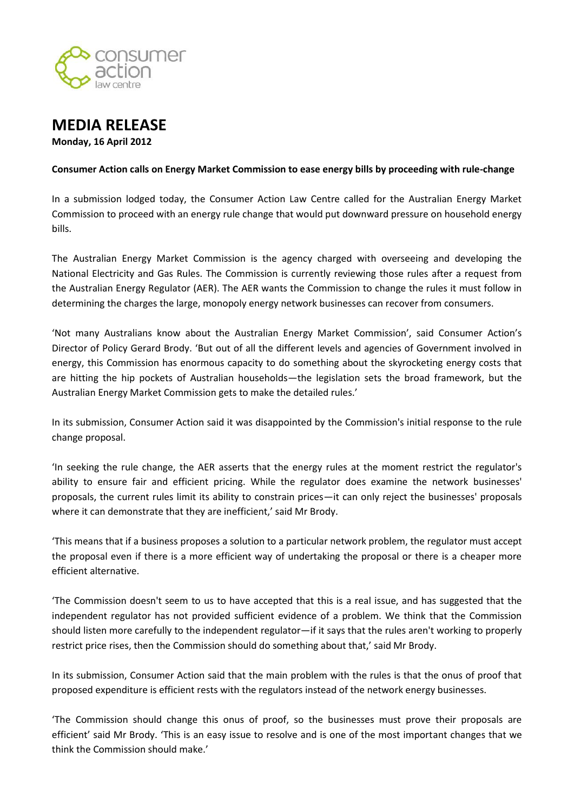



## **Consumer Action calls on Energy Market Commission to ease energy bills by proceeding with rule-change**

In a submission lodged today, the Consumer Action Law Centre called for the Australian Energy Market Commission to proceed with an energy rule change that would put downward pressure on household energy bills.

The Australian Energy Market Commission is the agency charged with overseeing and developing the National Electricity and Gas Rules. The Commission is currently reviewing those rules after a request from the Australian Energy Regulator (AER). The AER wants the Commission to change the rules it must follow in determining the charges the large, monopoly energy network businesses can recover from consumers.

'Not many Australians know about the Australian Energy Market Commission', said Consumer Action's Director of Policy Gerard Brody. 'But out of all the different levels and agencies of Government involved in energy, this Commission has enormous capacity to do something about the skyrocketing energy costs that are hitting the hip pockets of Australian households—the legislation sets the broad framework, but the Australian Energy Market Commission gets to make the detailed rules.'

In its submission, Consumer Action said it was disappointed by the Commission's initial response to the rule change proposal.

'In seeking the rule change, the AER asserts that the energy rules at the moment restrict the regulator's ability to ensure fair and efficient pricing. While the regulator does examine the network businesses' proposals, the current rules limit its ability to constrain prices—it can only reject the businesses' proposals where it can demonstrate that they are inefficient,' said Mr Brody.

'This means that if a business proposes a solution to a particular network problem, the regulator must accept the proposal even if there is a more efficient way of undertaking the proposal or there is a cheaper more efficient alternative.

'The Commission doesn't seem to us to have accepted that this is a real issue, and has suggested that the independent regulator has not provided sufficient evidence of a problem. We think that the Commission should listen more carefully to the independent regulator—if it says that the rules aren't working to properly restrict price rises, then the Commission should do something about that,' said Mr Brody.

In its submission, Consumer Action said that the main problem with the rules is that the onus of proof that proposed expenditure is efficient rests with the regulators instead of the network energy businesses.

'The Commission should change this onus of proof, so the businesses must prove their proposals are efficient' said Mr Brody. 'This is an easy issue to resolve and is one of the most important changes that we think the Commission should make.'